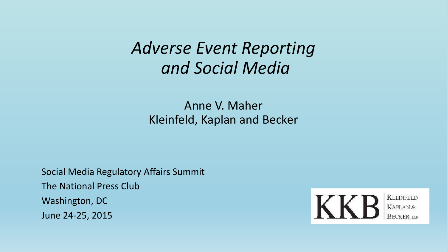#### *Adverse Event Reporting and Social Media*

#### Anne V. Maher Kleinfeld, Kaplan and Becker

Social Media Regulatory Affairs Summit The National Press Club Washington, DC June 24-25, 2015

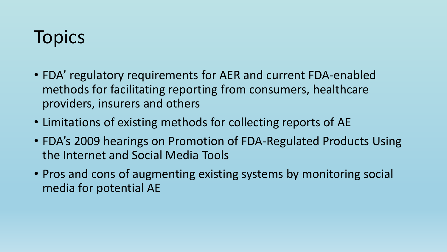# **Topics**

- FDA' regulatory requirements for AER and current FDA-enabled methods for facilitating reporting from consumers, healthcare providers, insurers and others
- Limitations of existing methods for collecting reports of AE
- FDA's 2009 hearings on Promotion of FDA-Regulated Products Using the Internet and Social Media Tools
- Pros and cons of augmenting existing systems by monitoring social media for potential AE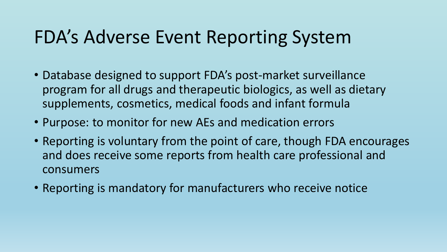#### FDA's Adverse Event Reporting System

- Database designed to support FDA's post-market surveillance program for all drugs and therapeutic biologics, as well as dietary supplements, cosmetics, medical foods and infant formula
- Purpose: to monitor for new AEs and medication errors
- Reporting is voluntary from the point of care, though FDA encourages and does receive some reports from health care professional and consumers
- Reporting is mandatory for manufacturers who receive notice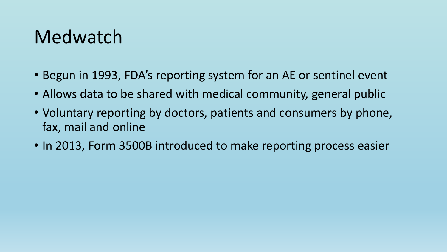#### Medwatch

- Begun in 1993, FDA's reporting system for an AE or sentinel event
- Allows data to be shared with medical community, general public
- Voluntary reporting by doctors, patients and consumers by phone, fax, mail and online
- In 2013, Form 3500B introduced to make reporting process easier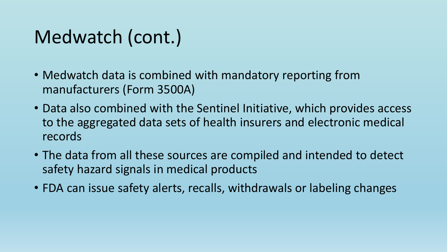## Medwatch (cont.)

- Medwatch data is combined with mandatory reporting from manufacturers (Form 3500A)
- Data also combined with the Sentinel Initiative, which provides access to the aggregated data sets of health insurers and electronic medical records
- The data from all these sources are compiled and intended to detect safety hazard signals in medical products
- FDA can issue safety alerts, recalls, withdrawals or labeling changes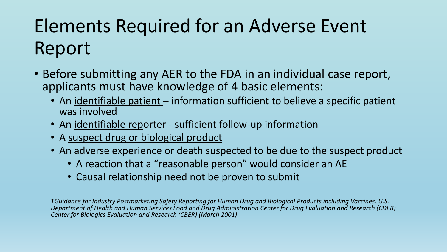# Elements Required for an Adverse Event Report

- Before submitting any AER to the FDA in an individual case report, applicants must have knowledge of 4 basic elements:
	- An identifiable patient information sufficient to believe a specific patient was involved
	- An identifiable reporter sufficient follow-up information
	- A suspect drug or biological product
	- An adverse experience or death suspected to be due to the suspect product
		- A reaction that a "reasonable person" would consider an AE
		- Causal relationship need not be proven to submit

†*Guidance for Industry Postmarketing Safety Reporting for Human Drug and Biological Products including Vaccines. U.S. Department of Health and Human Services Food and Drug Administration Center for Drug Evaluation and Research (CDER) Center for Biologics Evaluation and Research (CBER) (March 2001)*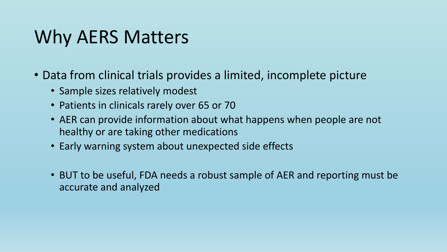## Why AERS Matters

- Data from clinical trials provides a limited, incomplete picture
	- Sample sizes relatively modest
	- Patients in clinicals rarely over 65 or 70
	- AER can provide information about what happens when people are not healthy or are taking other medications
	- Early warning system about unexpected side effects
	- BUT to be useful, FDA needs a robust sample of AER and reporting must be accurate and analyzed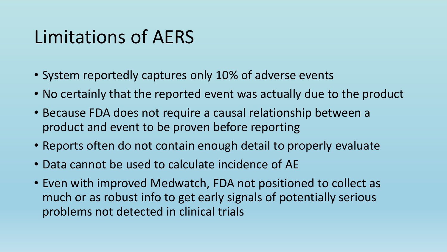#### Limitations of AERS

- System reportedly captures only 10% of adverse events
- No certainly that the reported event was actually due to the product
- Because FDA does not require a causal relationship between a product and event to be proven before reporting
- Reports often do not contain enough detail to properly evaluate
- Data cannot be used to calculate incidence of AE
- Even with improved Medwatch, FDA not positioned to collect as much or as robust info to get early signals of potentially serious problems not detected in clinical trials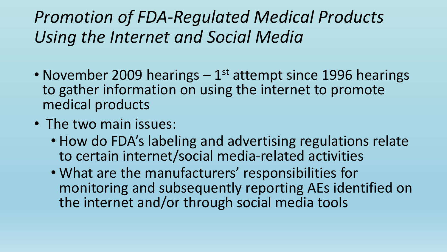*Promotion of FDA-Regulated Medical Products Using the Internet and Social Media*

- November 2009 hearings 1<sup>st</sup> attempt since 1996 hearings to gather information on using the internet to promote medical products
- The two main issues:
	- How do FDA's labeling and advertising regulations relate to certain internet/social media-related activities
	- What are the manufacturers' responsibilities for monitoring and subsequently reporting AEs identified on the internet and/or through social media tools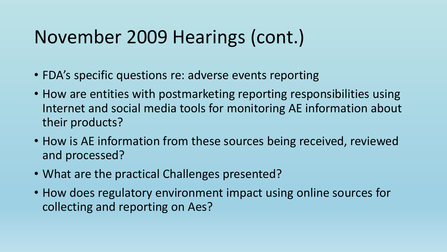- FDA's specific questions re: adverse events reporting
- How are entities with postmarketing reporting responsibilities using Internet and social media tools for monitoring AE information about their products?
- How is AE information from these sources being received, reviewed and processed?
- What are the practical Challenges presented?
- How does regulatory environment impact using online sources for collecting and reporting on Aes?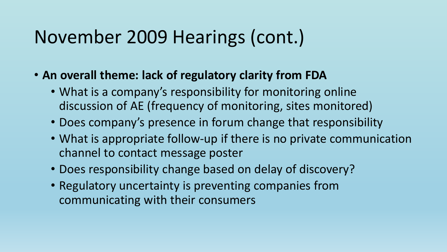- **An overall theme: lack of regulatory clarity from FDA**
	- What is a company's responsibility for monitoring online discussion of AE (frequency of monitoring, sites monitored)
	- Does company's presence in forum change that responsibility
	- What is appropriate follow-up if there is no private communication channel to contact message poster
	- Does responsibility change based on delay of discovery?
	- Regulatory uncertainty is preventing companies from communicating with their consumers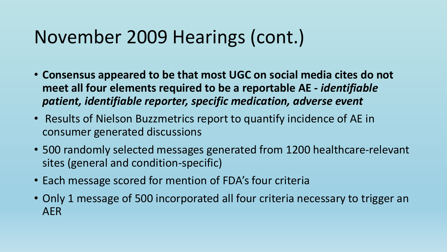- **Consensus appeared to be that most UGC on social media cites do not meet all four elements required to be a reportable AE -** *identifiable patient, identifiable reporter, specific medication, adverse event*
- Results of Nielson Buzzmetrics report to quantify incidence of AE in consumer generated discussions
- 500 randomly selected messages generated from 1200 healthcare-relevant sites (general and condition-specific)
- Each message scored for mention of FDA's four criteria
- Only 1 message of 500 incorporated all four criteria necessary to trigger an AER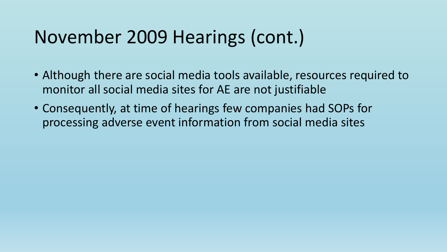- Although there are social media tools available, resources required to monitor all social media sites for AE are not justifiable
- Consequently, at time of hearings few companies had SOPs for processing adverse event information from social media sites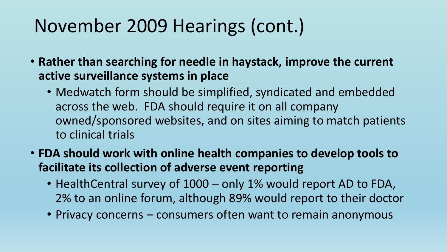- **Rather than searching for needle in haystack, improve the current active surveillance systems in place**
	- Medwatch form should be simplified, syndicated and embedded across the web. FDA should require it on all company owned/sponsored websites, and on sites aiming to match patients to clinical trials
- **FDA should work with online health companies to develop tools to facilitate its collection of adverse event reporting**
	- HealthCentral survey of 1000 only 1% would report AD to FDA, 2% to an online forum, although 89% would report to their doctor
	- Privacy concerns consumers often want to remain anonymous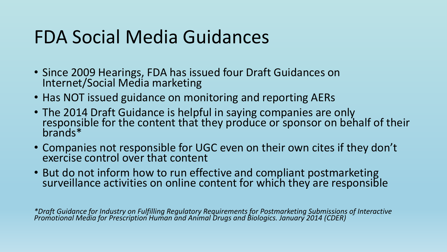#### FDA Social Media Guidances

- Since 2009 Hearings, FDA has issued four Draft Guidances on Internet/Social Media marketing
- Has NOT issued guidance on monitoring and reporting AERs
- The 2014 Draft Guidance is helpful in saying companies are only responsible for the content that they produce or sponsor on behalf of their brands\*
- Companies not responsible for UGC even on their own cites if they don't exercise control over that content
- But do not inform how to run effective and compliant postmarketing surveillance activities on online content for which they are responsible

*\*Draft Guidance for Industry on Fulfilling Regulatory Requirements for Postmarketing Submissions of Interactive Promotional Media for Prescription Human and Animal Drugs and Biologics. January 2014 (CDER)*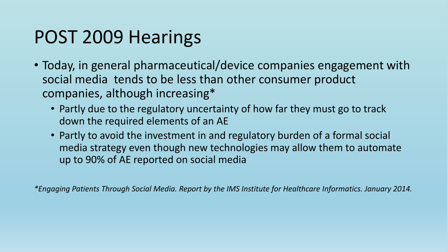## POST 2009 Hearings

- Today, in general pharmaceutical/device companies engagement with social media tends to be less than other consumer product companies, although increasing\*
	- Partly due to the regulatory uncertainty of how far they must go to track down the required elements of an AE
	- Partly to avoid the investment in and regulatory burden of a formal social media strategy even though new technologies may allow them to automate up to 90% of AE reported on social media

*\*Engaging Patients Through Social Media. Report by the IMS Institute for Healthcare Informatics. January 2014.*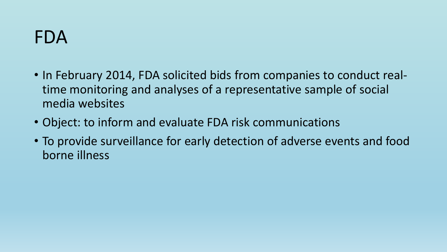#### FDA

- In February 2014, FDA solicited bids from companies to conduct realtime monitoring and analyses of a representative sample of social media websites
- Object: to inform and evaluate FDA risk communications
- To provide surveillance for early detection of adverse events and food borne illness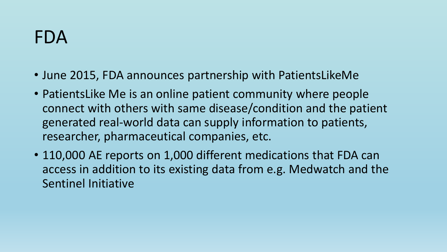#### FDA

- June 2015, FDA announces partnership with PatientsLikeMe
- PatientsLike Me is an online patient community where people connect with others with same disease/condition and the patient generated real-world data can supply information to patients, researcher, pharmaceutical companies, etc.
- 110,000 AE reports on 1,000 different medications that FDA can access in addition to its existing data from e.g. Medwatch and the Sentinel Initiative